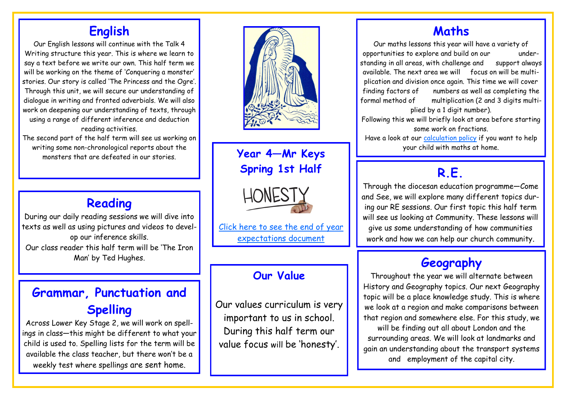## **English**

Our English lessons will continue with the Talk 4 Writing structure this year. This is where we learn to say a text before we write our own. This half term we will be working on the theme of 'Conquering a monster' stories. Our story is called 'The Princess and the Ogre'. Through this unit, we will secure our understanding of dialogue in writing and fronted adverbials. We will also work on deepening our understanding of texts, through using a range of different inference and deduction reading activities.

The second part of the half term will see us working on writing some non-chronological reports about the monsters that are defeated in our stories.



**Year 4—Mr Keys Spring 1st Half**



[Click here to see the end of year](http://www.st-bernadettes.n-tyneside.sch.uk/page/?title=End+of+Year+Expectations&pid=68)  [expectations document](http://www.st-bernadettes.n-tyneside.sch.uk/page/?title=End+of+Year+Expectations&pid=68)

#### **Our Value**

Our values curriculum is very important to us in school. During this half term our value focus will be 'honesty'.

#### **Maths**

Our maths lessons this year will have a variety of opportunities to explore and build on our understanding in all areas, with challenge and support always available. The next area we will focus on will be multiplication and division once again. This time we will cover finding factors of numbers as well as completing the formal method of multiplication (2 and 3 digits multiplied by a 1 digit number). Following this we will briefly look at area before starting some work on fractions.

Have a look at our [calculation policy](http://www.st-bernadettes.n-tyneside.sch.uk/attachments/download.asp?file=214&type=pdf) if you want to help your child with maths at home.

# **R.E.**

Through the diocesan education programme—Come and See, we will explore many different topics during our RE sessions. Our first topic this half term will see us looking at Community. These lessons will give us some understanding of how communities work and how we can help our church community.

## **Geography**

Throughout the year we will alternate between History and Geography topics. Our next Geography topic will be a place knowledge study. This is where we look at a region and make comparisons between that region and somewhere else. For this study, we will be finding out all about London and the surrounding areas. We will look at landmarks and gain an understanding about the transport systems and employment of the capital city.

# **Reading**

During our daily reading sessions we will dive into texts as well as using pictures and videos to develop our inference skills. Our class reader this half term will be 'The Iron Man' by Ted Hughes.

# **Grammar, Punctuation and Spelling**

Across Lower Key Stage 2, we will work on spellings in class—this might be different to what your child is used to. Spelling lists for the term will be available the class teacher, but there won't be a weekly test where spellings are sent home.